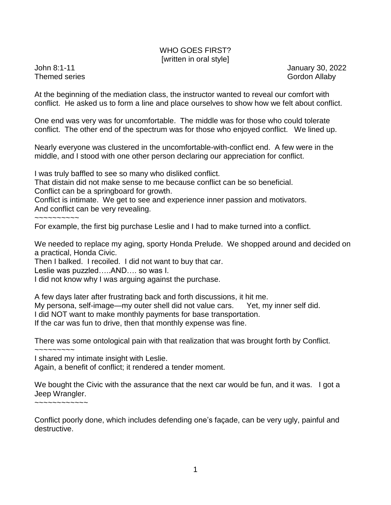## WHO GOES FIRST? [written in oral style]

Themed series Gordon Allaby Cordon Allaby

John 8:1-11 January 30, 2022

At the beginning of the mediation class, the instructor wanted to reveal our comfort with conflict. He asked us to form a line and place ourselves to show how we felt about conflict.

One end was very was for uncomfortable. The middle was for those who could tolerate conflict. The other end of the spectrum was for those who enjoyed conflict. We lined up.

Nearly everyone was clustered in the uncomfortable-with-conflict end. A few were in the middle, and I stood with one other person declaring our appreciation for conflict.

I was truly baffled to see so many who disliked conflict.

That distain did not make sense to me because conflict can be so beneficial.

Conflict can be a springboard for growth.

Conflict is intimate. We get to see and experience inner passion and motivators. And conflict can be very revealing.

~~~~~~~~~~

For example, the first big purchase Leslie and I had to make turned into a conflict.

We needed to replace my aging, sporty Honda Prelude. We shopped around and decided on a practical, Honda Civic.

Then I balked. I recoiled. I did not want to buy that car.

Leslie was puzzled…..AND…. so was I.

I did not know why I was arguing against the purchase.

A few days later after frustrating back and forth discussions, it hit me. My persona, self-image—my outer shell did not value cars. Yet, my inner self did. I did NOT want to make monthly payments for base transportation. If the car was fun to drive, then that monthly expense was fine.

There was some ontological pain with that realization that was brought forth by Conflict.

 $\sim\sim\sim\sim\sim\sim\sim\sim$ 

I shared my intimate insight with Leslie.

Again, a benefit of conflict; it rendered a tender moment.

We bought the Civic with the assurance that the next car would be fun, and it was. I got a Jeep Wrangler.

~~~~~~~~~~~~

Conflict poorly done, which includes defending one's façade, can be very ugly, painful and destructive.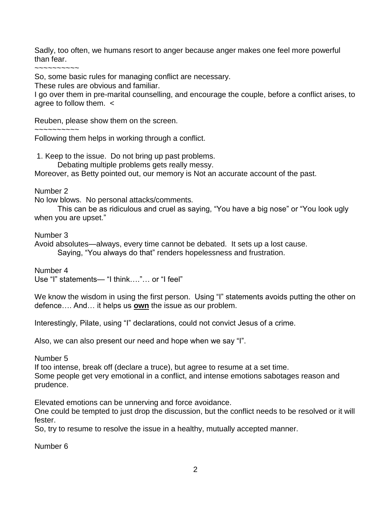Sadly, too often, we humans resort to anger because anger makes one feel more powerful than fear.

~~~~~~~~~~

So, some basic rules for managing conflict are necessary.

These rules are obvious and familiar.

I go over them in pre-marital counselling, and encourage the couple, before a conflict arises, to agree to follow them. <

Reuben, please show them on the screen.

~~~~~~~~~~

Following them helps in working through a conflict.

1. Keep to the issue. Do not bring up past problems. Debating multiple problems gets really messy.

Moreover, as Betty pointed out, our memory is Not an accurate account of the past.

Number 2

No low blows. No personal attacks/comments.

This can be as ridiculous and cruel as saying, "You have a big nose" or "You look ugly when you are upset."

Number 3

Avoid absolutes—always, every time cannot be debated. It sets up a lost cause. Saying, "You always do that" renders hopelessness and frustration.

Number 4 Use "I" statements— "I think…."… or "I feel"

We know the wisdom in using the first person. Using "I" statements avoids putting the other on defence…. And… it helps us **own** the issue as our problem.

Interestingly, Pilate, using "I" declarations, could not convict Jesus of a crime.

Also, we can also present our need and hope when we say "I".

Number 5

If too intense, break off (declare a truce), but agree to resume at a set time. Some people get very emotional in a conflict, and intense emotions sabotages reason and prudence.

Elevated emotions can be unnerving and force avoidance.

One could be tempted to just drop the discussion, but the conflict needs to be resolved or it will fester.

So, try to resume to resolve the issue in a healthy, mutually accepted manner.

Number 6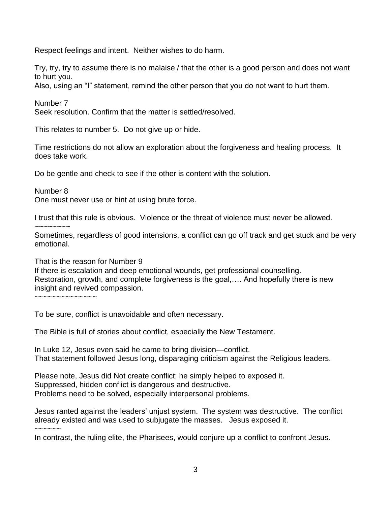Respect feelings and intent. Neither wishes to do harm.

Try, try, try to assume there is no malaise / that the other is a good person and does not want to hurt you.

Also, using an "I" statement, remind the other person that you do not want to hurt them.

Number 7

Seek resolution. Confirm that the matter is settled/resolved.

This relates to number 5. Do not give up or hide.

Time restrictions do not allow an exploration about the forgiveness and healing process. It does take work.

Do be gentle and check to see if the other is content with the solution.

Number 8

One must never use or hint at using brute force.

I trust that this rule is obvious. Violence or the threat of violence must never be allowed.

~~~~~~~~

Sometimes, regardless of good intensions, a conflict can go off track and get stuck and be very emotional.

That is the reason for Number 9

If there is escalation and deep emotional wounds, get professional counselling. Restoration, growth, and complete forgiveness is the goal,…. And hopefully there is new insight and revived compassion.

~~~~~~~~~~~~~~

To be sure, conflict is unavoidable and often necessary.

The Bible is full of stories about conflict, especially the New Testament.

In Luke 12, Jesus even said he came to bring division—conflict. That statement followed Jesus long, disparaging criticism against the Religious leaders.

Please note, Jesus did Not create conflict; he simply helped to exposed it. Suppressed, hidden conflict is dangerous and destructive. Problems need to be solved, especially interpersonal problems.

Jesus ranted against the leaders' unjust system. The system was destructive. The conflict already existed and was used to subjugate the masses. Jesus exposed it. ~~~~~~

In contrast, the ruling elite, the Pharisees, would conjure up a conflict to confront Jesus.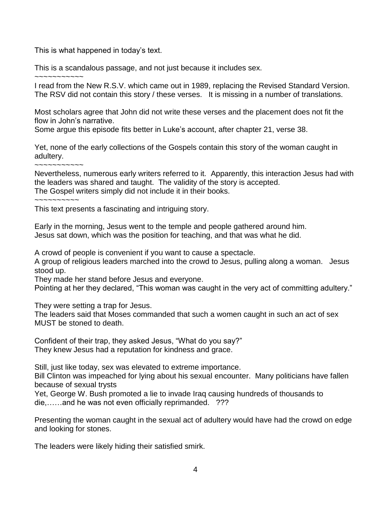This is what happened in today's text.

This is a scandalous passage, and not just because it includes sex.

~~~~~~~~~~~

I read from the New R.S.V. which came out in 1989, replacing the Revised Standard Version. The RSV did not contain this story / these verses. It is missing in a number of translations.

Most scholars agree that John did not write these verses and the placement does not fit the flow in John's narrative.

Some argue this episode fits better in Luke's account, after chapter 21, verse 38.

Yet, none of the early collections of the Gospels contain this story of the woman caught in adultery.

~~~~~~~~~~~

 $\sim$  ~~~~~~~~

Nevertheless, numerous early writers referred to it. Apparently, this interaction Jesus had with the leaders was shared and taught. The validity of the story is accepted. The Gospel writers simply did not include it in their books.

This text presents a fascinating and intriguing story.

Early in the morning, Jesus went to the temple and people gathered around him. Jesus sat down, which was the position for teaching, and that was what he did.

A crowd of people is convenient if you want to cause a spectacle.

A group of religious leaders marched into the crowd to Jesus, pulling along a woman. Jesus stood up.

They made her stand before Jesus and everyone.

Pointing at her they declared, "This woman was caught in the very act of committing adultery."

They were setting a trap for Jesus.

The leaders said that Moses commanded that such a women caught in such an act of sex MUST be stoned to death.

Confident of their trap, they asked Jesus, "What do you say?" They knew Jesus had a reputation for kindness and grace.

Still, just like today, sex was elevated to extreme importance.

Bill Clinton was impeached for lying about his sexual encounter. Many politicians have fallen because of sexual trysts

Yet, George W. Bush promoted a lie to invade Iraq causing hundreds of thousands to die,……and he was not even officially reprimanded. ???

Presenting the woman caught in the sexual act of adultery would have had the crowd on edge and looking for stones.

The leaders were likely hiding their satisfied smirk.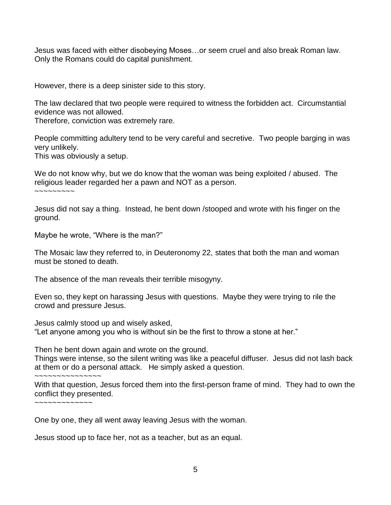Jesus was faced with either disobeying Moses…or seem cruel and also break Roman law. Only the Romans could do capital punishment.

However, there is a deep sinister side to this story.

The law declared that two people were required to witness the forbidden act. Circumstantial evidence was not allowed.

Therefore, conviction was extremely rare.

People committing adultery tend to be very careful and secretive. Two people barging in was very unlikely.

This was obviously a setup.

We do not know why, but we do know that the woman was being exploited / abused. The religious leader regarded her a pawn and NOT as a person.

 $\sim$   $\sim$   $\sim$   $\sim$   $\sim$   $\sim$ 

Jesus did not say a thing. Instead, he bent down /stooped and wrote with his finger on the ground.

Maybe he wrote, "Where is the man?"

The Mosaic law they referred to, in Deuteronomy 22, states that both the man and woman must be stoned to death.

The absence of the man reveals their terrible misogyny.

Even so, they kept on harassing Jesus with questions. Maybe they were trying to rile the crowd and pressure Jesus.

Jesus calmly stood up and wisely asked,

"Let anyone among you who is without sin be the first to throw a stone at her."

Then he bent down again and wrote on the ground.

Things were intense, so the silent writing was like a peaceful diffuser. Jesus did not lash back at them or do a personal attack. He simply asked a question.

~~~~~~~~~~~~~~~

With that question, Jesus forced them into the first-person frame of mind. They had to own the conflict they presented.

~~~~~~~~~~~~~

One by one, they all went away leaving Jesus with the woman.

Jesus stood up to face her, not as a teacher, but as an equal.